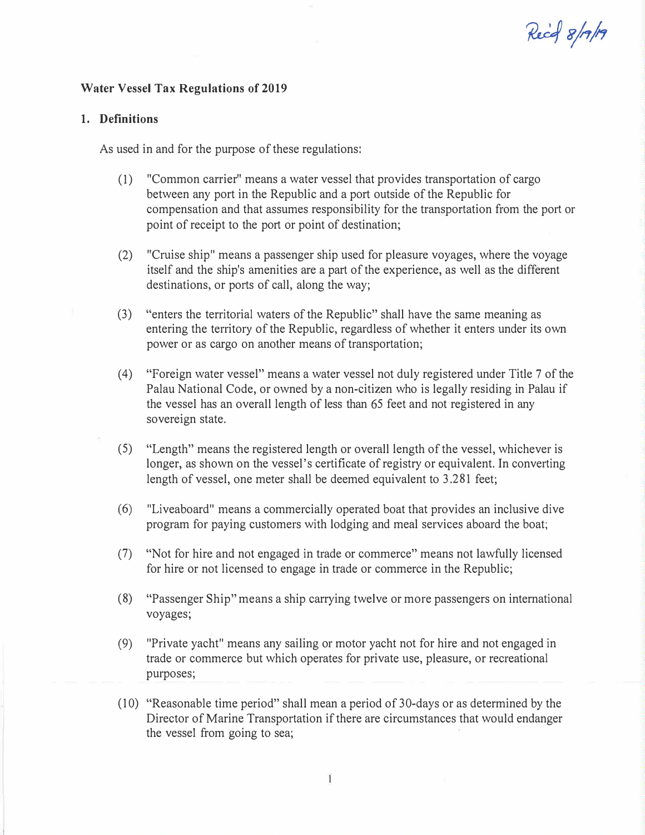# Recal 8/17/19

## Water Vessel Tax Regulations of 2019

#### 1. Definitions

As used in and for the purpose of these regulations:

- (1) "Common carrier" means a water vessel that provides transportation of cargo between any port in the Republic and a port outside of the Republic for compensation and that assumes responsibility for the transportation from the port or point of receipt to the port or point of destination;
- (2) "Cruise ship" means a passenger ship used for pleasure voyages, where the voyage itself and the ship's amenities are a part of the experience, as well as the different destinations, or ports of call, along the way;
- (3) "enters the territorial waters of the Republic" shall have the same meaning as entering the territory of the Republic, regardless of whether it enters under its own power or as cargo on another means of transportation;
- (4) "Foreign water vessel" means a water vessel not duly registered under Title 7 of the Palau National Code, or owned by a non-citizen who is legally residing in Palau if the vessel has an overall length of less than 65 feet and not registered in any sovereign state.
- (5) "Length" means the registered length or overall length of the vessel, whichever is longer, as shown on the vessel's certificate of registry or equivalent. In converting length of vessel, one meter shall be deemed equivalent to 3.281 feet;
- (6) "Liveaboard" means a commercially operated boat that provides an inclusive dive program for paying customers with lodging and meal services aboard the boat;
- (7) "Not for hire and not engaged in trade or commerce" means not lawfully licensed for hire or not licensed to engage in trade or commerce in the Republic;
- (8) "Passenger Ship" means a ship carrying twelve or more passengers on international voyages;
- (9) "Private yacht" means any sailing or motor yacht not for hire and not engaged in trade or commerce but which operates for private use, pleasure, or recreational purposes;
- (1 0) "Reasonable time period" shall mean a period of 30-days or as determined by the Director of Marine Transportation if there are circumstances that would endanger the vessel from going to sea;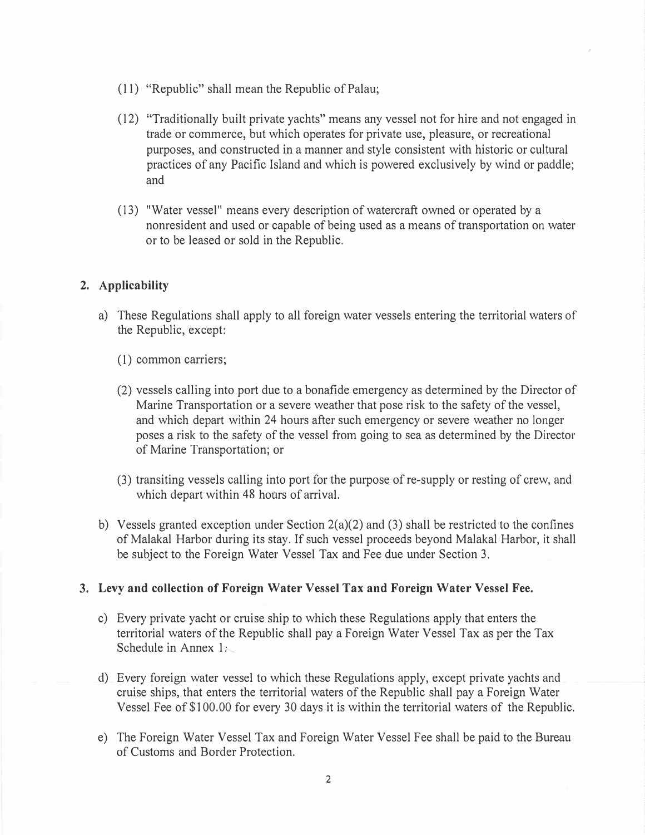- (11) "Republic" shall mean the Republic of Palau;
- (12) "Traditionally built private yachts" means any vessel not for hire and not engaged in trade or commerce, but which operates for private use, pleasure, or recreational purposes, and constructed in a manner and style consistent with historic or cultural practices of any Pacific Island and which is powered exclusively by wind or paddle; and
- (13) "Water vessel" means every description of watercraft owned or operated by a nonresident and used or capable of being used as a means of transportation on water or to be leased or sold in the Republic.

## 2. Applicability

- a) These Regulations shall apply to all foreign water vessels entering the territorial waters of the Republic, except:
	- (1) common carriers;
	- (2) vessels calling into port due to a bonafide emergency as determined by the Director of Marine Transportation or a severe weather that pose risk to the safety of the vessel, and which depart within 24 hours after such emergency or severe weather no longer poses a risk to the safety of the vessel from going to sea as determined by the Director of Marine Transportation; or
	- (3) transiting vessels calling into port for the purpose of re-supply or resting of crew, and which depart within 48 hours of arrival.
- b) Vessels granted exception under Section  $2(a)(2)$  and (3) shall be restricted to the confines of Malakal Harbor during its stay. If such vessel proceeds beyond Malakal Harbor, it shall be subject to the Foreign Water Vessel Tax and Fee due under Section 3.

#### 3. Levy and collection of Foreign Water Vessel Tax and Foreign Water Vessel Fee.

- c) Every private yacht or cruise ship to which these Regulations apply that enters the territorial waters of the Republic shall pay a Foreign Water Vessel Tax as per the Tax Schedule in Annex 1.
- d) Every foreign water vessel to which these Regulations apply, except private yachts and cruise ships, that enters the territorial waters of the Republic shall pay a Foreign Water Vessel Fee of \$100.00 for every 30 days it is within the territorial waters of the Republic.
- e) The Foreign Water Vessel Tax and Foreign Water Vessel Fee shall be paid to the Bureau of Customs and Border Protection.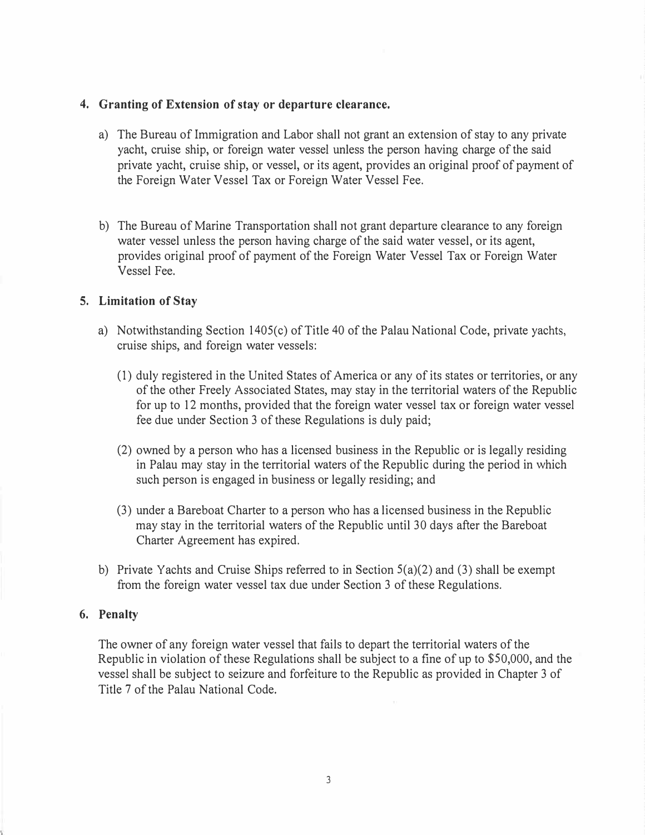## 4. Granting of Extension of stay or departure clearance.

- a) The Bureau of Immigration and Labor shall not grant an extension of stay to any private yacht, cruise ship, or foreign water vessel unless the person having charge of the said private yacht, cruise ship, or vessel, or its agent, provides an original proof of payment of the Foreign Water Vessel Tax or Foreign Water Vessel Fee.
- b) The Bureau of Marine Transportation shall not grant departure clearance to any foreign water vessel unless the person having charge of the said water vessel, or its agent, provides original proof of payment of the Foreign Water Vessel Tax or Foreign Water Vessel Fee.

#### 5. Limitation of Stay

- a) Notwithstanding Section 1405(c) of Title 40 of the Palau National Code, private yachts, cruise ships, and foreign water vessels:
	- (1) duly registered in the United States of America or any of its states or territories, or any of the other Freely Associated States, may stay in the territorial waters of the Republic for up to 12 months, provided that the foreign water vessel tax or foreign water vessel fee due under Section 3 of these Regulations is duly paid;
	- (2) owned by a person who has a licensed business in the Republic or is legally residing in Palau may stay in the territorial waters of the Republic during the period in which such person is engaged in business or legally residing; and
	- (3) under a Bareboat Charter to a person who has a licensed business in the Republic may stay in the territorial waters of the Republic until 30 days after the Bareboat Charter Agreement has expired.
- b) Private Yachts and Cruise Ships referred to in Section  $5(a)(2)$  and (3) shall be exempt from the foreign water vessel tax due under Section 3 of these Regulations.

#### 6. Penalty

The owner of any foreign water vessel that fails to depart the territorial waters of the Republic in violation of these Regulations shall be subject to a fine of up to \$50,000, and the vessel shall be subject to seizure and forfeiture to the Republic as provided in Chapter 3 of Title 7 of the Palau National Code.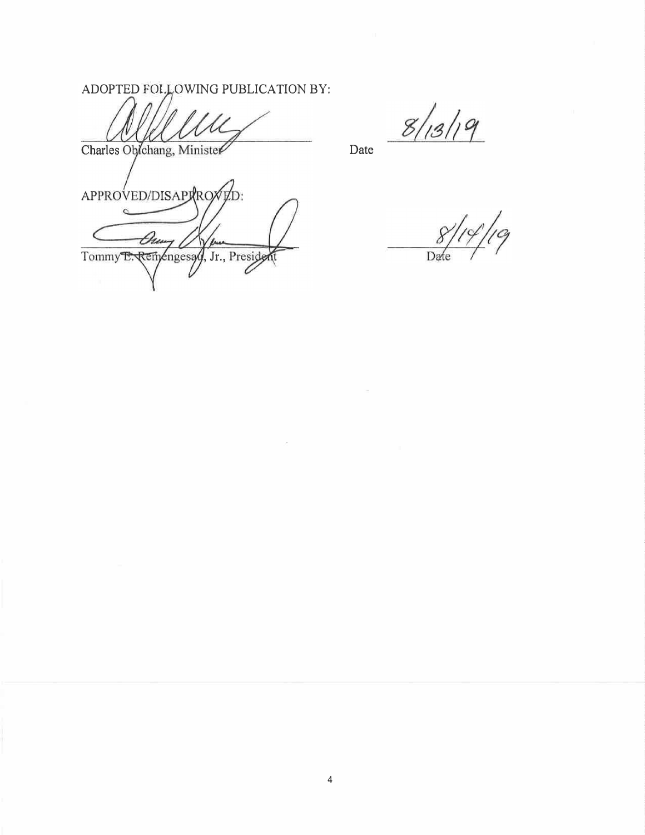ADOPTED FOLLOWING PUBLICATION BY:

D:

Charles Oblchang, Minister

APPROVED/DISAPRROX

Du

Tommy E. Remengesay, Jr., Preside

 $\overline{c}$ 

Date

|<br>| Cq Da

 $8/13/19$ 

4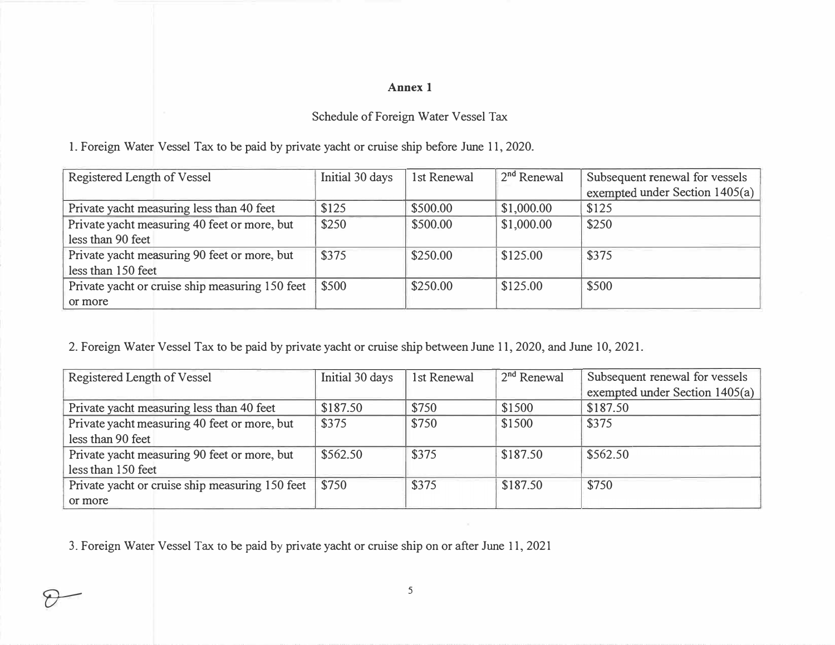# Annex 1

# Schedule of Foreign Water Vessel Tax

<sup>L</sup>Foreign Water Vessel Tax to be paid by private yacht or cruise ship before June 11, 2020.

| Registered Length of Vessel                     | Initial 30 days | 1st Renewal | $\sqrt{2^{nd}}$ Renewal | Subsequent renewal for vessels |
|-------------------------------------------------|-----------------|-------------|-------------------------|--------------------------------|
|                                                 |                 |             |                         | exempted under Section 1405(a) |
| Private yacht measuring less than 40 feet       | \$125           | \$500.00    | \$1,000.00              | \$125                          |
| Private yacht measuring 40 feet or more, but    | \$250           | \$500.00    | \$1,000.00              | \$250                          |
| less than 90 feet                               |                 |             |                         |                                |
| Private yacht measuring 90 feet or more, but    | \$375           | \$250.00    | \$125.00                | \$375                          |
| less than 150 feet                              |                 |             |                         |                                |
| Private yacht or cruise ship measuring 150 feet | \$500           | \$250.00    | \$125.00                | \$500                          |
| or more                                         |                 |             |                         |                                |

2. Foreign Water Vessel Tax to be paid by private yacht or cruise ship between June 11, 2020, and June 10, 2021.

| Registered Length of Vessel                     | Initial 30 days | 1st Renewal | $2nd$ Renewal | Subsequent renewal for vessels |
|-------------------------------------------------|-----------------|-------------|---------------|--------------------------------|
|                                                 |                 |             |               | exempted under Section 1405(a) |
| Private yacht measuring less than 40 feet       | \$187.50        | \$750       | \$1500        | \$187.50                       |
| Private yacht measuring 40 feet or more, but    | \$375           | \$750       | \$1500        | \$375                          |
| less than 90 feet                               |                 |             |               |                                |
| Private yacht measuring 90 feet or more, but    | \$562.50        | \$375       | \$187.50      | \$562.50                       |
| less than 150 feet                              |                 |             |               |                                |
| Private yacht or cruise ship measuring 150 feet | \$750           | \$375       | \$187.50      | \$750                          |
| or more                                         |                 |             |               |                                |

3. Foreign Water Vessel Tax to be paid by private yacht or cruise ship on or after June 11, 2021